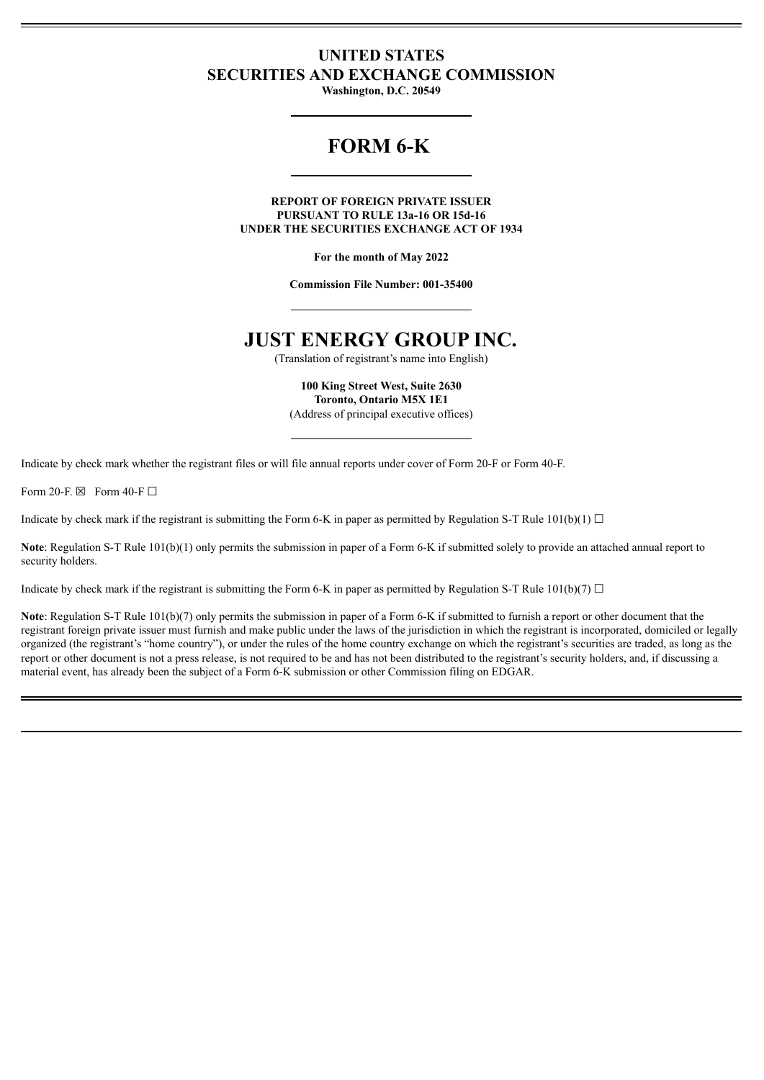## **UNITED STATES SECURITIES AND EXCHANGE COMMISSION**

**Washington, D.C. 20549**

# **FORM 6-K**

**REPORT OF FOREIGN PRIVATE ISSUER PURSUANT TO RULE 13a-16 OR 15d-16 UNDER THE SECURITIES EXCHANGE ACT OF 1934**

**For the month of May 2022**

**Commission File Number: 001-35400**

# **JUST ENERGY GROUP INC.**

(Translation of registrant's name into English)

**100 King Street West, Suite 2630 Toronto, Ontario M5X 1E1** (Address of principal executive offices)

Indicate by check mark whether the registrant files or will file annual reports under cover of Form 20-F or Form 40-F.

Form 20-F $\boxtimes$  Form 40-F $\Box$ 

Indicate by check mark if the registrant is submitting the Form 6-K in paper as permitted by Regulation S-T Rule 101(b)(1)  $\Box$ 

Note: Regulation S-T Rule 101(b)(1) only permits the submission in paper of a Form 6-K if submitted solely to provide an attached annual report to security holders.

Indicate by check mark if the registrant is submitting the Form 6-K in paper as permitted by Regulation S-T Rule  $101(b)(7)$   $\Box$ 

**Note**: Regulation S-T Rule 101(b)(7) only permits the submission in paper of a Form 6-K if submitted to furnish a report or other document that the registrant foreign private issuer must furnish and make public under the laws of the jurisdiction in which the registrant is incorporated, domiciled or legally organized (the registrant's "home country"), or under the rules of the home country exchange on which the registrant's securities are traded, as long as the report or other document is not a press release, is not required to be and has not been distributed to the registrant's security holders, and, if discussing a material event, has already been the subject of a Form 6-K submission or other Commission filing on EDGAR.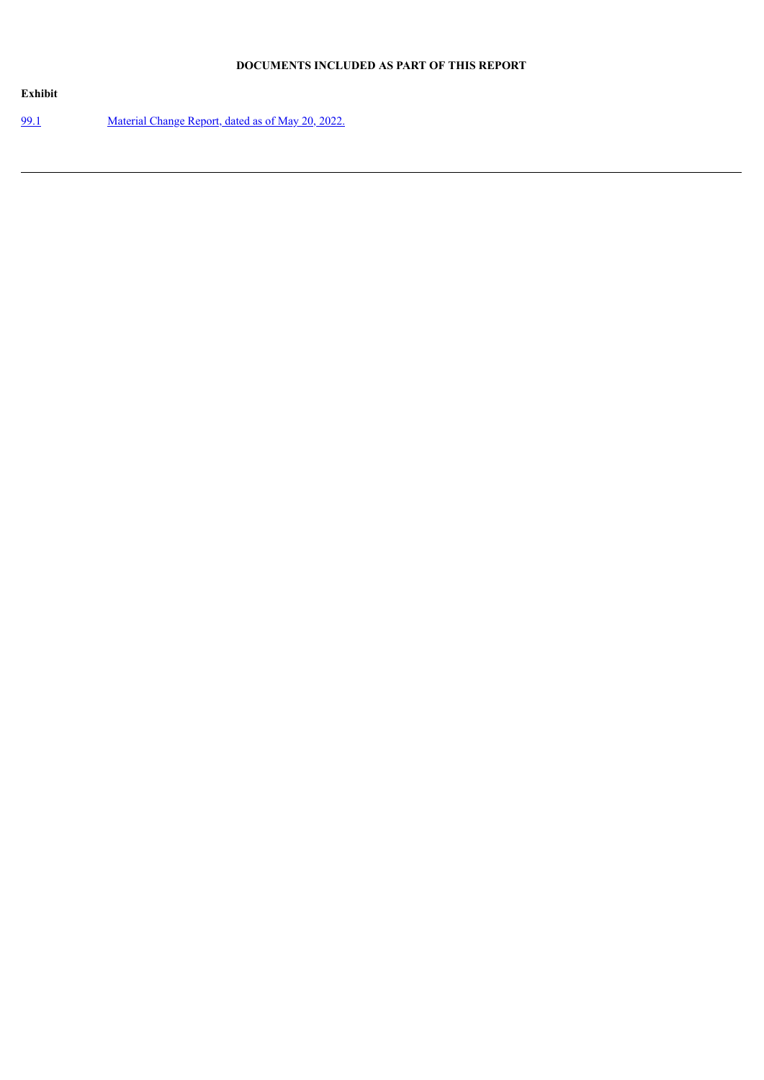## **DOCUMENTS INCLUDED AS PART OF THIS REPORT**

| Exhibit     |                                                   |
|-------------|---------------------------------------------------|
| <u>99.1</u> | Material Change Report, dated as of May 20, 2022. |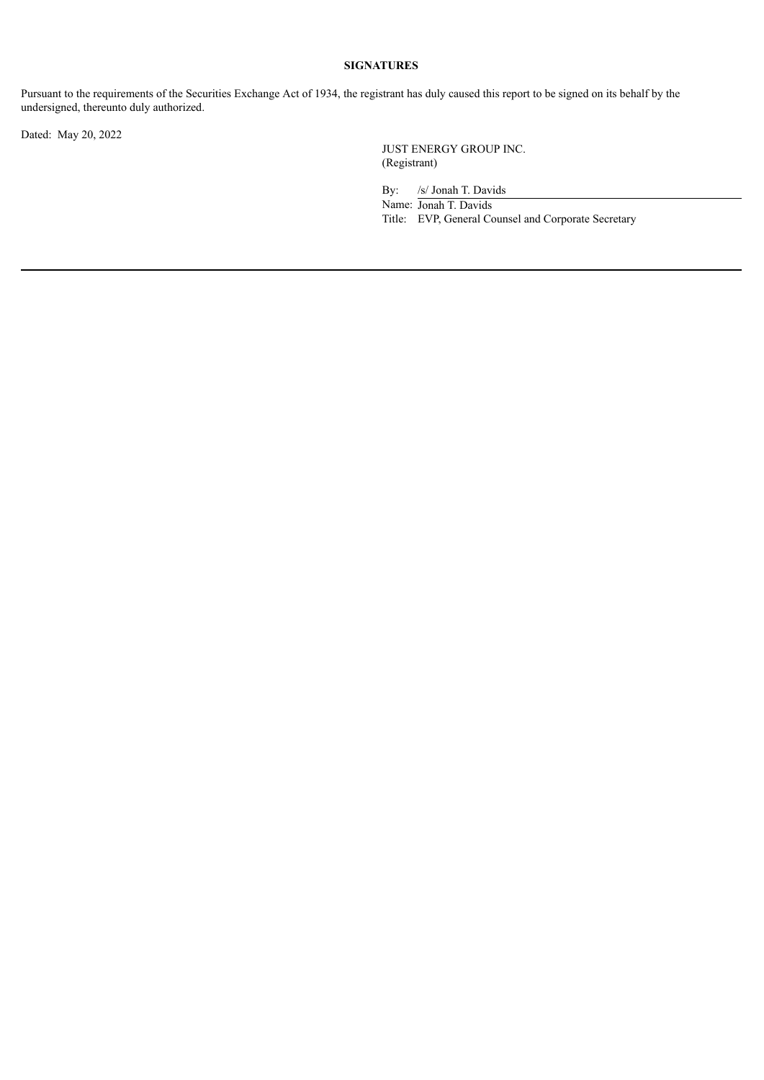## **SIGNATURES**

Pursuant to the requirements of the Securities Exchange Act of 1934, the registrant has duly caused this report to be signed on its behalf by the undersigned, thereunto duly authorized.

Dated: May 20, 2022

JUST ENERGY GROUP INC. (Registrant)

By: /s/ Jonah T. Davids

Name: Jonah T. Davids Title: EVP, General Counsel and Corporate Secretary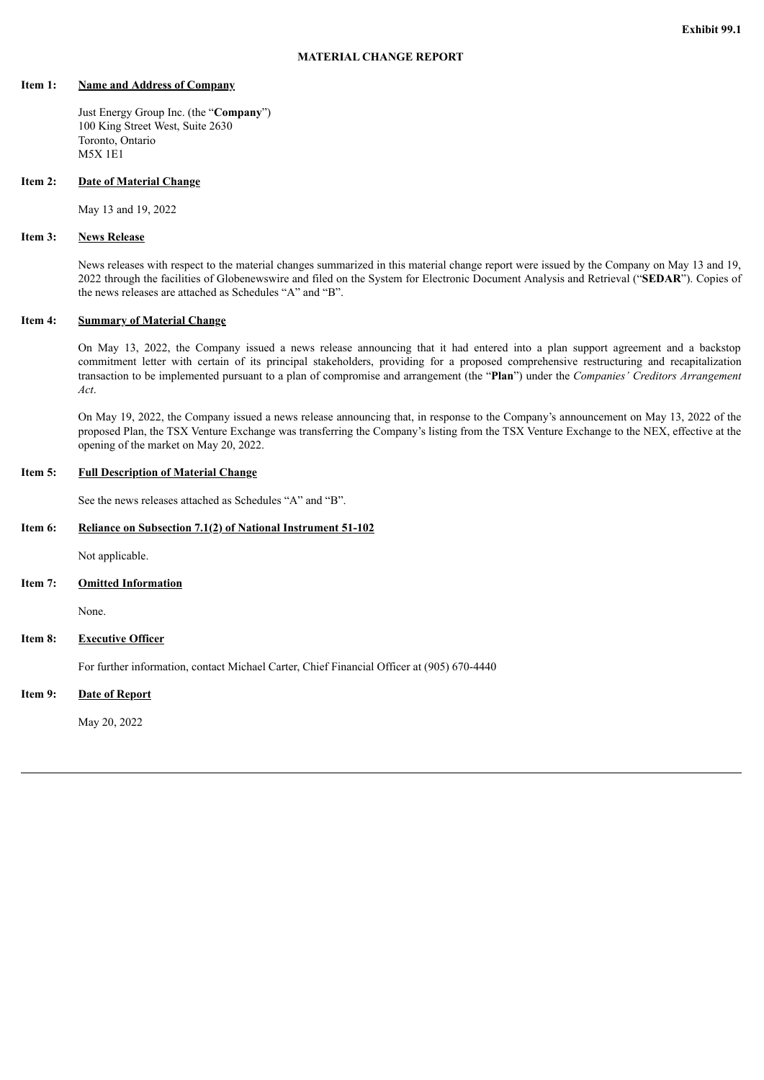## <span id="page-3-0"></span>**Item 1: Name and Address of Company**

Just Energy Group Inc. (the "**Company**") 100 King Street West, Suite 2630 Toronto, Ontario M5X 1E1

## **Item 2: Date of Material Change**

May 13 and 19, 2022

## **Item 3: News Release**

News releases with respect to the material changes summarized in this material change report were issued by the Company on May 13 and 19, 2022 through the facilities of Globenewswire and filed on the System for Electronic Document Analysis and Retrieval ("**SEDAR**"). Copies of the news releases are attached as Schedules "A" and "B".

## **Item 4: Summary of Material Change**

On May 13, 2022, the Company issued a news release announcing that it had entered into a plan support agreement and a backstop commitment letter with certain of its principal stakeholders, providing for a proposed comprehensive restructuring and recapitalization transaction to be implemented pursuant to a plan of compromise and arrangement (the "**Plan**") under the *Companies' Creditors Arrangement Act*.

On May 19, 2022, the Company issued a news release announcing that, in response to the Company's announcement on May 13, 2022 of the proposed Plan, the TSX Venture Exchange was transferring the Company's listing from the TSX Venture Exchange to the NEX, effective at the opening of the market on May 20, 2022.

## **Item 5: Full Description of Material Change**

See the news releases attached as Schedules "A" and "B".

## **Item 6: Reliance on Subsection 7.1(2) of National Instrument 51-102**

Not applicable.

**Item 7: Omitted Information**

None.

**Item 8: Executive Officer**

For further information, contact Michael Carter, Chief Financial Officer at (905) 670-4440

**Item 9: Date of Report**

May 20, 2022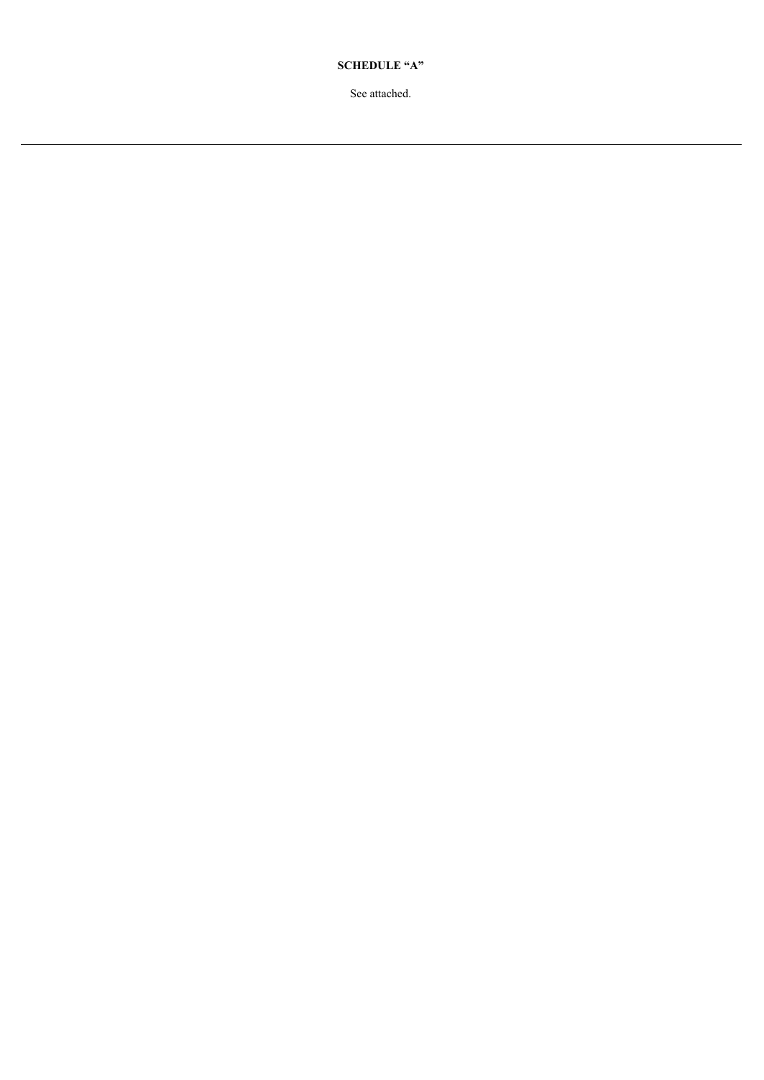**SCHEDULE "A"**

See attached.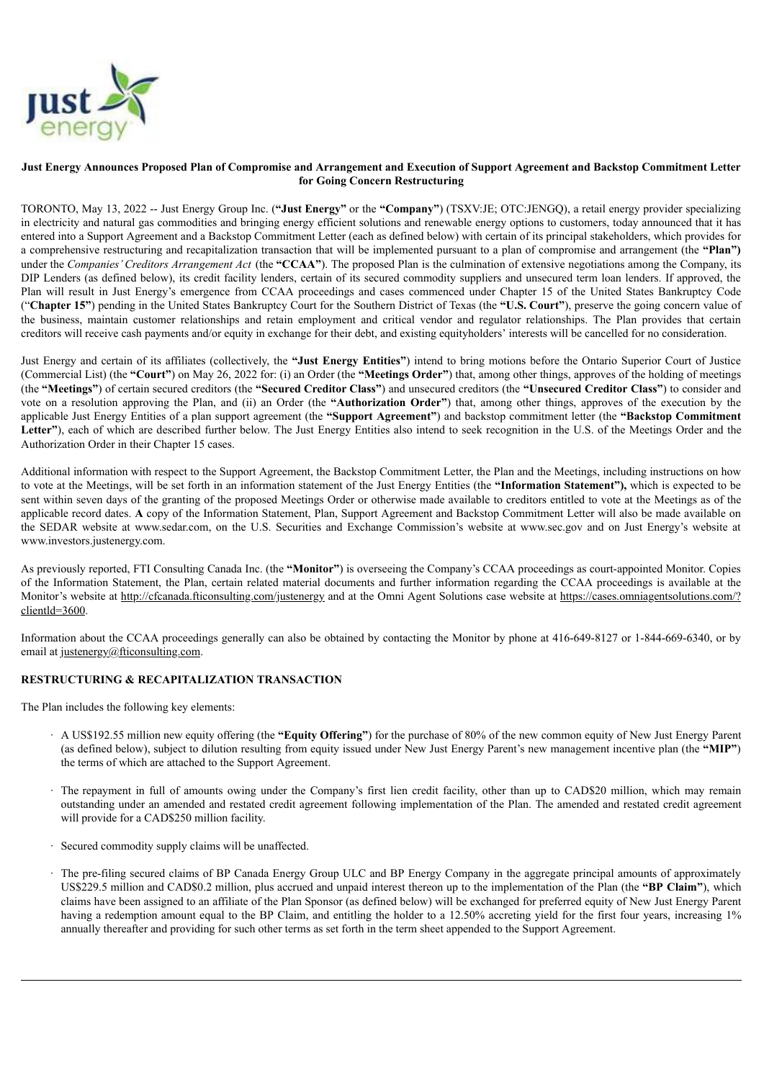

## Just Energy Announces Proposed Plan of Compromise and Arrangement and Execution of Support Agreement and Backstop Commitment Letter **for Going Concern Restructuring**

TORONTO, May 13, 2022 -- Just Energy Group Inc. (**"Just Energy"** or the **"Company"**) (TSXV:JE; OTC:JENGQ), a retail energy provider specializing in electricity and natural gas commodities and bringing energy efficient solutions and renewable energy options to customers, today announced that it has entered into a Support Agreement and a Backstop Commitment Letter (each as defined below) with certain of its principal stakeholders, which provides for a comprehensive restructuring and recapitalization transaction that will be implemented pursuant to a plan of compromise and arrangement (the **"Plan")** under the *Companies'Creditors Arrangement Act* (the **"CCAA"**). The proposed Plan is the culmination of extensive negotiations among the Company, its DIP Lenders (as defined below), its credit facility lenders, certain of its secured commodity suppliers and unsecured term loan lenders. If approved, the Plan will result in Just Energy's emergence from CCAA proceedings and cases commenced under Chapter 15 of the United States Bankruptcy Code ("**Chapter 15"**) pending in the United States Bankruptcy Court for the Southern District of Texas (the **"U.S. Court"**), preserve the going concern value of the business, maintain customer relationships and retain employment and critical vendor and regulator relationships. The Plan provides that certain creditors will receive cash payments and/or equity in exchange for their debt, and existing equityholders' interests will be cancelled for no consideration.

Just Energy and certain of its affiliates (collectively, the **"Just Energy Entities"**) intend to bring motions before the Ontario Superior Court of Justice (Commercial List) (the **"Court"**) on May 26, 2022 for: (i) an Order (the **"Meetings Order"**) that, among other things, approves of the holding of meetings (the **"Meetings"**) of certain secured creditors (the **"Secured Creditor Class"**) and unsecured creditors (the **"Unsecured Creditor Class"**) to consider and vote on a resolution approving the Plan, and (ii) an Order (the **"Authorization Order"**) that, among other things, approves of the execution by the applicable Just Energy Entities of a plan support agreement (the **"Support Agreement"**) and backstop commitment letter (the **"Backstop Commitment Letter"**), each of which are described further below. The Just Energy Entities also intend to seek recognition in the U.S. of the Meetings Order and the Authorization Order in their Chapter 15 cases.

Additional information with respect to the Support Agreement, the Backstop Commitment Letter, the Plan and the Meetings, including instructions on how to vote at the Meetings, will be set forth in an information statement of the Just Energy Entities (the **"Information Statement"),** which is expected to be sent within seven days of the granting of the proposed Meetings Order or otherwise made available to creditors entitled to vote at the Meetings as of the applicable record dates. **A** copy of the Information Statement, Plan, Support Agreement and Backstop Commitment Letter will also be made available on the SEDAR website at www.sedar.com, on the U.S. Securities and Exchange Commission's website at www.sec.gov and on Just Energy's website at www.investors.justenergy.com.

As previously reported, FTI Consulting Canada Inc. (the **"Monitor"**) is overseeing the Company's CCAA proceedings as court-appointed Monitor. Copies of the Information Statement, the Plan, certain related material documents and further information regarding the CCAA proceedings is available at the Monitor's website at http://cfcanada.fticonsulting.com/justenergy and at the Omni Agent Solutions case website at https://cases.omniagentsolutions.com/? clientld=3600.

Information about the CCAA proceedings generally can also be obtained by contacting the Monitor by phone at 416-649-8127 or 1-844-669-6340, or by email at justenergy@fticonsulting.com.

## **RESTRUCTURING & RECAPITALIZATION TRANSACTION**

The Plan includes the following key elements:

- · A US\$192.55 million new equity offering (the **"Equity Offering"**) for the purchase of 80% of the new common equity of New Just Energy Parent (as defined below), subject to dilution resulting from equity issued under New Just Energy Parent's new management incentive plan (the **"MIP"**) the terms of which are attached to the Support Agreement.
- · The repayment in full of amounts owing under the Company's first lien credit facility, other than up to CAD\$20 million, which may remain outstanding under an amended and restated credit agreement following implementation of the Plan. The amended and restated credit agreement will provide for a CAD\$250 million facility.
- · Secured commodity supply claims will be unaffected.
- · The pre-filing secured claims of BP Canada Energy Group ULC and BP Energy Company in the aggregate principal amounts of approximately US\$229.5 million and CAD\$0.2 million, plus accrued and unpaid interest thereon up to the implementation of the Plan (the **"BP Claim"**), which claims have been assigned to an affiliate of the Plan Sponsor (as defined below) will be exchanged for preferred equity of New Just Energy Parent having a redemption amount equal to the BP Claim, and entitling the holder to a 12.50% accreting yield for the first four years, increasing 1% annually thereafter and providing for such other terms as set forth in the term sheet appended to the Support Agreement.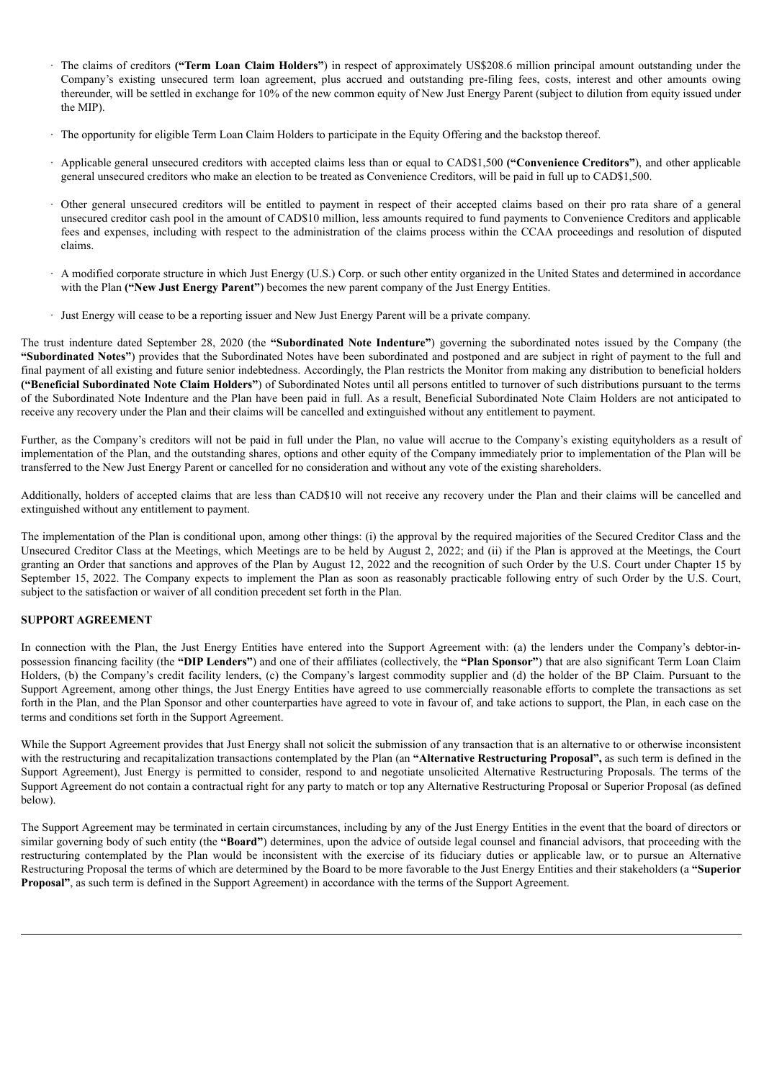- · The claims of creditors **("Term Loan Claim Holders"**) in respect of approximately US\$208.6 million principal amount outstanding under the Company's existing unsecured term loan agreement, plus accrued and outstanding pre-filing fees, costs, interest and other amounts owing thereunder, will be settled in exchange for 10% of the new common equity of New Just Energy Parent (subject to dilution from equity issued under the MIP).
- · The opportunity for eligible Term Loan Claim Holders to participate in the Equity Offering and the backstop thereof.
- · Applicable general unsecured creditors with accepted claims less than or equal to CAD\$1,500 **("Convenience Creditors"**), and other applicable general unsecured creditors who make an election to be treated as Convenience Creditors, will be paid in full up to CAD\$1,500.
- · Other general unsecured creditors will be entitled to payment in respect of their accepted claims based on their pro rata share of a general unsecured creditor cash pool in the amount of CAD\$10 million, less amounts required to fund payments to Convenience Creditors and applicable fees and expenses, including with respect to the administration of the claims process within the CCAA proceedings and resolution of disputed claims.
- · A modified corporate structure in which Just Energy (U.S.) Corp. or such other entity organized in the United States and determined in accordance with the Plan **("New Just Energy Parent"**) becomes the new parent company of the Just Energy Entities.
- · Just Energy will cease to be a reporting issuer and New Just Energy Parent will be a private company.

The trust indenture dated September 28, 2020 (the **"Subordinated Note Indenture"**) governing the subordinated notes issued by the Company (the **"Subordinated Notes"**) provides that the Subordinated Notes have been subordinated and postponed and are subject in right of payment to the full and final payment of all existing and future senior indebtedness. Accordingly, the Plan restricts the Monitor from making any distribution to beneficial holders **("Beneficial Subordinated Note Claim Holders"**) of Subordinated Notes until all persons entitled to turnover of such distributions pursuant to the terms of the Subordinated Note Indenture and the Plan have been paid in full. As a result, Beneficial Subordinated Note Claim Holders are not anticipated to receive any recovery under the Plan and their claims will be cancelled and extinguished without any entitlement to payment.

Further, as the Company's creditors will not be paid in full under the Plan, no value will accrue to the Company's existing equityholders as a result of implementation of the Plan, and the outstanding shares, options and other equity of the Company immediately prior to implementation of the Plan will be transferred to the New Just Energy Parent or cancelled for no consideration and without any vote of the existing shareholders.

Additionally, holders of accepted claims that are less than CAD\$10 will not receive any recovery under the Plan and their claims will be cancelled and extinguished without any entitlement to payment.

The implementation of the Plan is conditional upon, among other things: (i) the approval by the required majorities of the Secured Creditor Class and the Unsecured Creditor Class at the Meetings, which Meetings are to be held by August 2, 2022; and (ii) if the Plan is approved at the Meetings, the Court granting an Order that sanctions and approves of the Plan by August 12, 2022 and the recognition of such Order by the U.S. Court under Chapter 15 by September 15, 2022. The Company expects to implement the Plan as soon as reasonably practicable following entry of such Order by the U.S. Court, subject to the satisfaction or waiver of all condition precedent set forth in the Plan.

## **SUPPORT AGREEMENT**

In connection with the Plan, the Just Energy Entities have entered into the Support Agreement with: (a) the lenders under the Company's debtor-inpossession financing facility (the **"DIP Lenders"**) and one of their affiliates (collectively, the **"Plan Sponsor"**) that are also significant Term Loan Claim Holders, (b) the Company's credit facility lenders, (c) the Company's largest commodity supplier and (d) the holder of the BP Claim. Pursuant to the Support Agreement, among other things, the Just Energy Entities have agreed to use commercially reasonable efforts to complete the transactions as set forth in the Plan, and the Plan Sponsor and other counterparties have agreed to vote in favour of, and take actions to support, the Plan, in each case on the terms and conditions set forth in the Support Agreement.

While the Support Agreement provides that Just Energy shall not solicit the submission of any transaction that is an alternative to or otherwise inconsistent with the restructuring and recapitalization transactions contemplated by the Plan (an **"Alternative Restructuring Proposal",** as such term is defined in the Support Agreement), Just Energy is permitted to consider, respond to and negotiate unsolicited Alternative Restructuring Proposals. The terms of the Support Agreement do not contain a contractual right for any party to match or top any Alternative Restructuring Proposal or Superior Proposal (as defined below).

The Support Agreement may be terminated in certain circumstances, including by any of the Just Energy Entities in the event that the board of directors or similar governing body of such entity (the "**Board**") determines, upon the advice of outside legal counsel and financial advisors, that proceeding with the restructuring contemplated by the Plan would be inconsistent with the exercise of its fiduciary duties or applicable law, or to pursue an Alternative Restructuring Proposal the terms of which are determined by the Board to be more favorable to the Just Energy Entities and their stakeholders (a **"Superior Proposal"**, as such term is defined in the Support Agreement) in accordance with the terms of the Support Agreement.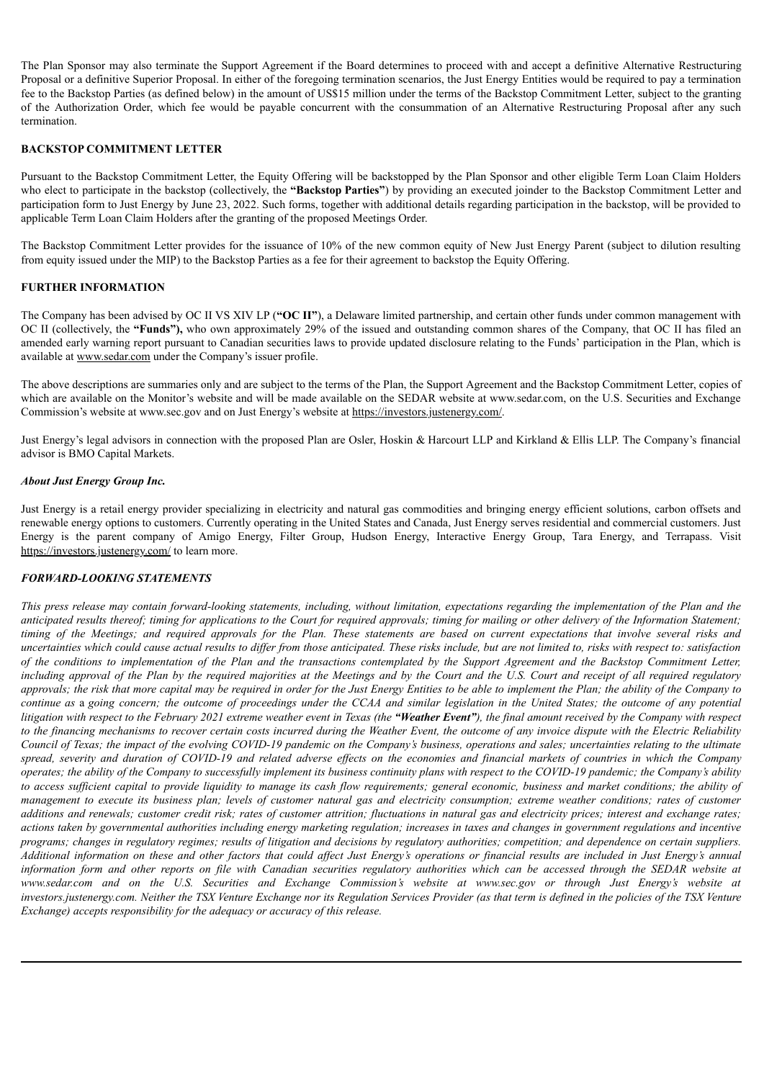The Plan Sponsor may also terminate the Support Agreement if the Board determines to proceed with and accept a definitive Alternative Restructuring Proposal or a definitive Superior Proposal. In either of the foregoing termination scenarios, the Just Energy Entities would be required to pay a termination fee to the Backstop Parties (as defined below) in the amount of US\$15 million under the terms of the Backstop Commitment Letter, subject to the granting of the Authorization Order, which fee would be payable concurrent with the consummation of an Alternative Restructuring Proposal after any such termination.

## **BACKSTOP COMMITMENT LETTER**

Pursuant to the Backstop Commitment Letter, the Equity Offering will be backstopped by the Plan Sponsor and other eligible Term Loan Claim Holders who elect to participate in the backstop (collectively, the **"Backstop Parties"**) by providing an executed joinder to the Backstop Commitment Letter and participation form to Just Energy by June 23, 2022. Such forms, together with additional details regarding participation in the backstop, will be provided to applicable Term Loan Claim Holders after the granting of the proposed Meetings Order.

The Backstop Commitment Letter provides for the issuance of 10% of the new common equity of New Just Energy Parent (subject to dilution resulting from equity issued under the MIP) to the Backstop Parties as a fee for their agreement to backstop the Equity Offering.

### **FURTHER INFORMATION**

The Company has been advised by OC II VS XIV LP (**"OC II"**), a Delaware limited partnership, and certain other funds under common management with OC II (collectively, the **"Funds"),** who own approximately 29% of the issued and outstanding common shares of the Company, that OC II has filed an amended early warning report pursuant to Canadian securities laws to provide updated disclosure relating to the Funds' participation in the Plan, which is available at www.sedar.com under the Company's issuer profile.

The above descriptions are summaries only and are subject to the terms of the Plan, the Support Agreement and the Backstop Commitment Letter, copies of which are available on the Monitor's website and will be made available on the SEDAR website at www.sedar.com, on the U.S. Securities and Exchange Commission's website at www.sec.gov and on Just Energy's website at https://investors.justenergy.com/.

Just Energy's legal advisors in connection with the proposed Plan are Osler, Hoskin & Harcourt LLP and Kirkland & Ellis LLP. The Company's financial advisor is BMO Capital Markets.

### *About Just Energy Group Inc.*

Just Energy is a retail energy provider specializing in electricity and natural gas commodities and bringing energy efficient solutions, carbon offsets and renewable energy options to customers. Currently operating in the United States and Canada, Just Energy serves residential and commercial customers. Just Energy is the parent company of Amigo Energy, Filter Group, Hudson Energy, Interactive Energy Group, Tara Energy, and Terrapass. Visit https://investors.justenergy.com/ to learn more.

### *FORWARD-LOOKING STATEMENTS*

This press release may contain forward-looking statements, including, without limitation, expectations regarding the implementation of the Plan and the anticipated results thereof; timing for applications to the Court for required approvals; timing for mailing or other delivery of the Information Statement; timing of the Meetings; and required approvals for the Plan. These statements are based on current expectations that involve several risks and uncertainties which could cause actual results to differ from those anticipated. These risks include, but are not limited to, risks with respect to: satisfaction of the conditions to implementation of the Plan and the transactions contemplated by the Support Agreement and the Backstop Commitment Letter, including approval of the Plan by the required majorities at the Meetings and by the Court and the U.S. Court and receipt of all required regulatory approvals; the risk that more capital may be required in order for the Just Energy Entities to be able to implement the Plan; the ability of the Company to continue as a going concern; the outcome of proceedings under the CCAA and similar legislation in the United States; the outcome of any potential litigation with respect to the February 2021 extreme weather event in Texas (the "Weather Event"), the final amount received by the Company with respect to the financing mechanisms to recover certain costs incurred during the Weather Event, the outcome of any invoice dispute with the Electric Reliability Council of Texas; the impact of the evolving COVID-19 pandemic on the Company's business, operations and sales; uncertainties relating to the ultimate spread, severity and duration of COVID-19 and related adverse effects on the economies and financial markets of countries in which the Company operates; the ability of the Company to successfully implement its business continuity plans with respect to the COVID-19 pandemic; the Company's ability to access sufficient capital to provide liquidity to manage its cash flow requirements; general economic, business and market conditions; the ability of management to execute its business plan; levels of customer natural gas and electricity consumption; extreme weather conditions; rates of customer additions and renewals; customer credit risk; rates of customer attrition; fluctuations in natural gas and electricity prices; interest and exchange rates; actions taken by governmental authorities including energy marketing regulation; increases in taxes and changes in government regulations and incentive programs; changes in regulatory regimes; results of litigation and decisions by regulatory authorities; competition; and dependence on certain suppliers. Additional information on these and other factors that could affect Just Energy's operations or financial results are included in Just Energy's annual information form and other reports on file with Canadian securities regulatory authorities which can be accessed through the SEDAR website at www.sedar.com and on the U.S. Securities and Exchange Commission's website at www.sec.gov or through Just Energy's website at investors.justenergy.com. Neither the TSX Venture Exchange nor its Regulation Services Provider (as that term is defined in the policies of the TSX Venture *Exchange) accepts responsibility for the adequacy or accuracy of this release.*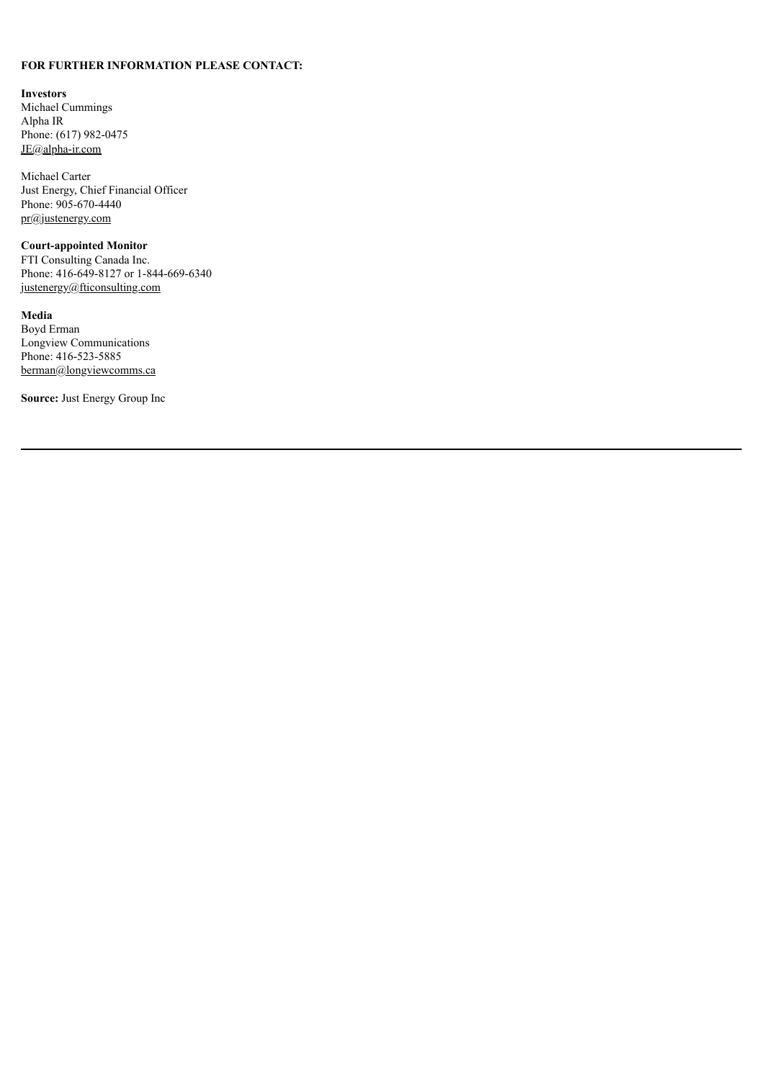## **FOR FURTHER INFORMATION PLEASE CONTACT:**

#### **Investors**

Michael Cummings Alpha IR Phone: (617) 982-0475 JE@alpha-ir.com

Michael Carter Just Energy, Chief Financial Officer Phone: 905-670-4440 pr@justenergy.com

## **Court-appointed Monitor**

FTI Consulting Canada Inc. Phone: 416-649-8127 or 1-844-669-6340 justenergy@fticonsulting.com

**Media** Boyd Erman Longview Communications Phone: 416-523-5885 berman@longviewcomms.ca

**Source:** Just Energy Group Inc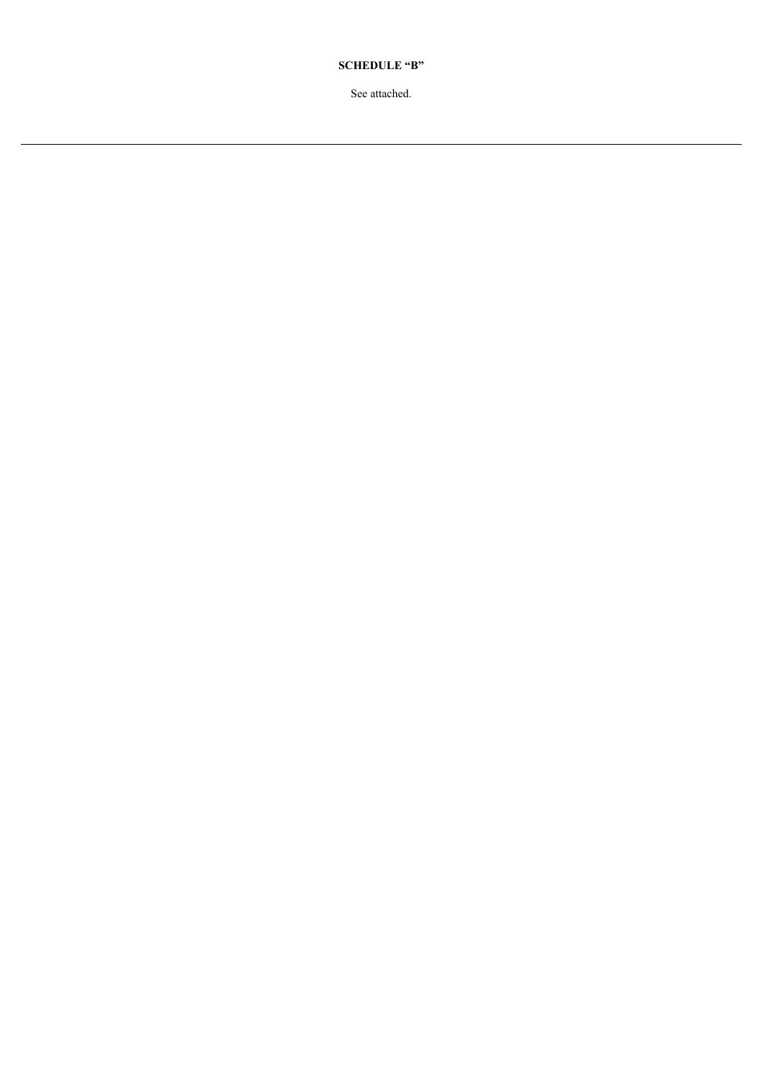**SCHEDULE "B"**

See attached.